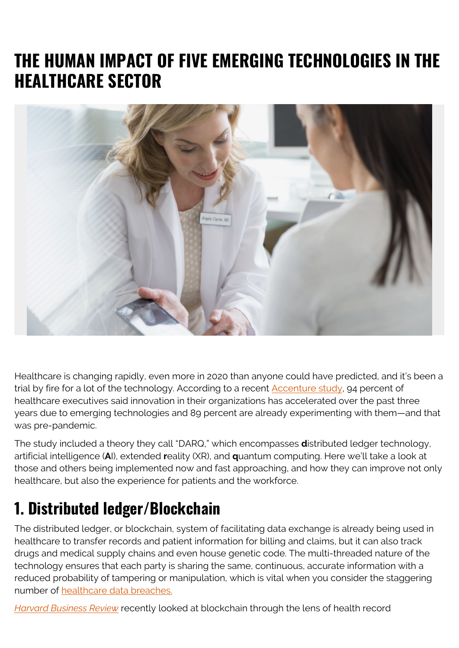## **THE HUMAN IMPACT OF FIVE EMERGING TECHNOLOGIES IN THE HEALTHCARE SECTOR**



Healthcare is changing rapidly, even more in 2020 than anyone could have predicted, and it's been a trial by fire for a lot of the technology. According to a recent [Accenture study](https://www.accenture.com/_acnmedia/PDF-102/Accenture-Digital-Health-Tech-Vision-2019.pdf#zoom=50), 94 percent of healthcare executives said innovation in their organizations has accelerated over the past three years due to emerging technologies and 89 percent are already experimenting with them—and that was pre-pandemic.

The study included a theory they call "DARQ," which encompasses **d**istributed ledger technology, artificial intelligence (**A**I), extended **r**eality (XR), and **q**uantum computing. Here we'll take a look at those and others being implemented now and fast approaching, and how they can improve not only healthcare, but also the experience for patients and the workforce.

#### **1. Distributed ledger/Blockchain**

The distributed ledger, or blockchain, system of facilitating data exchange is already being used in healthcare to transfer records and patient information for billing and claims, but it can also track drugs and medical supply chains and even house genetic code. The multi-threaded nature of the technology ensures that each party is sharing the same, continuous, accurate information with a reduced probability of tampering or manipulation, which is vital when you consider the staggering number of [healthcare data breaches.](https://www.hipaajournal.com/healthcare-data-breach-statistics/)

*[Harvard Business Review](https://hbr.org/2020/06/what-blockchain-could-mean-for-your-health-data)* recently looked at blockchain through the lens of health record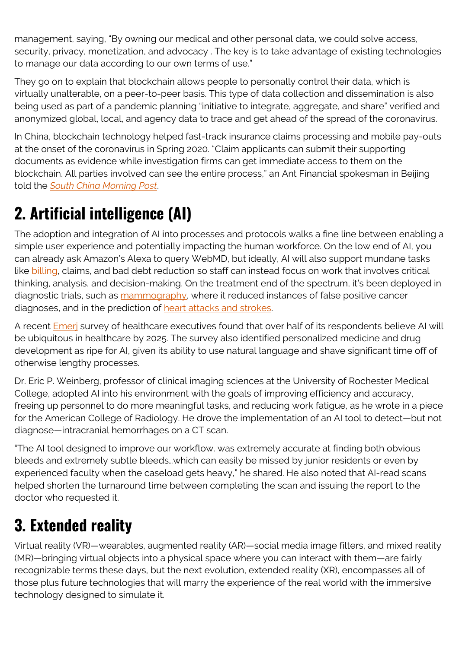management, saying, "By owning our medical and other personal data, we could solve access, security, privacy, monetization, and advocacy . The key is to take advantage of existing technologies to manage our data according to our own terms of use."

They go on to explain that blockchain allows people to personally control their data, which is virtually unalterable, on a peer-to-peer basis. This type of data collection and dissemination is also being used as part of a pandemic planning "initiative to integrate, aggregate, and share" verified and anonymized global, local, and agency data to trace and get ahead of the spread of the coronavirus.

In China, blockchain technology helped fast-track insurance claims processing and mobile pay-outs at the onset of the coronavirus in Spring 2020. "Claim applicants can submit their supporting documents as evidence while investigation firms can get immediate access to them on the blockchain. All parties involved can see the entire process," an Ant Financial spokesman in Beijing told the *[South China Morning Post](https://www.scmp.com/business/companies/article/3049479/insurance-service-providers-rely-blockchain-fast-track-claims)*.

## **2. Artificial intelligence (AI)**

The adoption and integration of AI into processes and protocols walks a fine line between enabling a simple user experience and potentially impacting the human workforce. On the low end of AI, you can already ask Amazon's Alexa to query WebMD, but ideally, AI will also support mundane tasks like [billing,](https://emerj.com/ai-podcast-interviews/white-collar-automation-in-healthcare/) claims, and bad debt reduction so staff can instead focus on work that involves critical thinking, analysis, and decision-making. On the treatment end of the spectrum, it's been deployed in diagnostic trials, such as [mammography](https://www.nature.com/articles/d41586-019-03822-8), where it reduced instances of false positive cancer diagnoses, and in the prediction of [heart attacks and strokes.](https://www.ahajournals.org/doi/10.1161/CIRCULATIONAHA.119.044666)

A recent **Emer** survey of healthcare executives found that over half of its respondents believe AI will be ubiquitous in healthcare by 2025. The survey also identified personalized medicine and drug development as ripe for AI, given its ability to use natural language and shave significant time off of otherwise lengthy processes.

Dr. Eric P. Weinberg, professor of clinical imaging sciences at the University of Rochester Medical College, adopted AI into his environment with the goals of improving efficiency and accuracy, freeing up personnel to do more meaningful tasks, and reducing work fatigue, as he wrote in a piece for the American College of Radiology. He drove the implementation of an AI tool to detect—but not diagnose—intracranial hemorrhages on a CT scan.

"The AI tool designed to improve our workflow. was extremely accurate at finding both obvious bleeds and extremely subtle bleeds…which can easily be missed by junior residents or even by experienced faculty when the caseload gets heavy," he shared. He also noted that AI-read scans helped shorten the turnaround time between completing the scan and issuing the report to the doctor who requested it.

## **3. Extended reality**

Virtual reality (VR)—wearables, augmented reality (AR)—social media image filters, and mixed reality (MR)—bringing virtual objects into a physical space where you can interact with them—are fairly recognizable terms these days, but the next evolution, extended reality (XR), encompasses all of those plus future technologies that will marry the experience of the real world with the immersive technology designed to simulate it.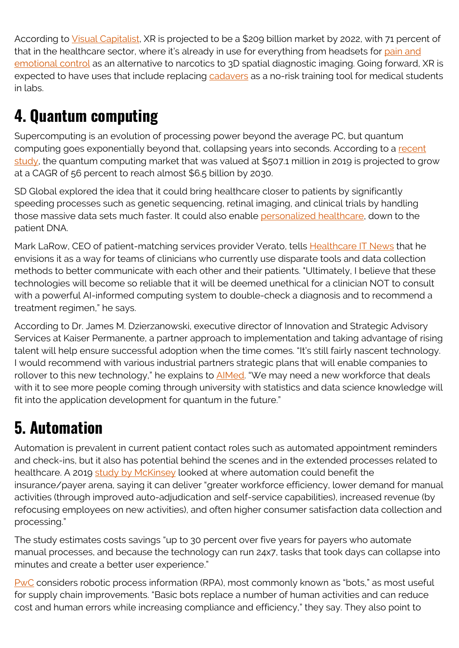According to [Visual Capitalist,](https://www.visualcapitalist.com/extended-reality-xr/) XR is projected to be a \$209 billion market by 2022, with 71 percent of that in the healthcare sector, where it's already in use for everything from headsets for [pain and](https://searchhealthit.techtarget.com/feature/VR-in-healthcare-is-changing-the-patient-care-game) [emotional control](https://searchhealthit.techtarget.com/feature/VR-in-healthcare-is-changing-the-patient-care-game) as an alternative to narcotics to 3D spatial diagnostic imaging. Going forward, XR is expected to have uses that include replacing [cadavers](https://newsroom.clevelandclinic.org/2018/08/23/cleveland-clinic-creates-e-anatomy-with-virtual-reality/) as a no-risk training tool for medical students in labs.

# **4. Quantum computing**

Supercomputing is an evolution of processing power beyond the average PC, but quantum computing goes exponentially beyond that, collapsing years into seconds. According to a [recent](https://www.researchandmarkets.com/reports/5010716/quantum-computing-market-research-report-by?utm_source=dynamic&utm_medium=GNOM&utm_code=4m3fxs&utm_campaign=1375670+-+Worldwide+Quantum+Computing+Market+(2019+to+2030)+-+Drivers%2c+Restraints+and+Opportunities&utm_exec=jamu273gnomd) [study,](https://www.researchandmarkets.com/reports/5010716/quantum-computing-market-research-report-by?utm_source=dynamic&utm_medium=GNOM&utm_code=4m3fxs&utm_campaign=1375670+-+Worldwide+Quantum+Computing+Market+(2019+to+2030)+-+Drivers%2c+Restraints+and+Opportunities&utm_exec=jamu273gnomd) the quantum computing market that was valued at \$507.1 million in 2019 is projected to grow at a CAGR of 56 percent to reach almost \$6.5 billion by 2030.

SD Global explored the idea that it could bring healthcare closer to patients by significantly speeding processes such as genetic sequencing, retinal imaging, and clinical trials by handling those massive data sets much faster. It could also enable [personalized healthcare](https://medium.com/@dverma1369/using-technologies-of-the-future-to-disrupt-healthcare-3-an-intro-to-quantum-computing-714cb735ec08), down to the patient DNA.

Mark LaRow, CEO of patient-matching services provider Verato, tells [Healthcare IT News](https://www.healthcareitnews.com/news/quantum-computing-could-turbocharge-healthcare-analytics-ai) that he envisions it as a way for teams of clinicians who currently use disparate tools and data collection methods to better communicate with each other and their patients. "Ultimately, I believe that these technologies will become so reliable that it will be deemed unethical for a clinician NOT to consult with a powerful AI-informed computing system to double-check a diagnosis and to recommend a treatment regimen," he says.

According to Dr. James M. Dzierzanowski, executive director of Innovation and Strategic Advisory Services at Kaiser Permanente, a partner approach to implementation and taking advantage of rising talent will help ensure successful adoption when the time comes. "It's still fairly nascent technology. I would recommend with various industrial partners strategic plans that will enable companies to rollover to this new technology," he explains to **AIMed**. "We may need a new workforce that deals with it to see more people coming through university with statistics and data science knowledge will fit into the application development for quantum in the future."

#### **5. Automation**

Automation is prevalent in current patient contact roles such as automated appointment reminders and check-ins, but it also has potential behind the scenes and in the extended processes related to healthcare. A 2019 [study by McKinsey](https://healthcare.mckinsey.com/automation-scale-benefits-payers) looked at where automation could benefit the insurance/payer arena, saying it can deliver "greater workforce efficiency, lower demand for manual activities (through improved auto-adjudication and self-service capabilities), increased revenue (by refocusing employees on new activities), and often higher consumer satisfaction data collection and processing."

The study estimates costs savings "up to 30 percent over five years for payers who automate manual processes, and because the technology can run 24x7, tasks that took days can collapse into minutes and create a better user experience."

[PwC](https://www.pwc.com/us/en/industries/health-services/robotic-process-automation-healthcare-provider-supply-chain.html) considers robotic process information (RPA), most commonly known as "bots," as most useful for supply chain improvements. "Basic bots replace a number of human activities and can reduce cost and human errors while increasing compliance and efficiency," they say. They also point to